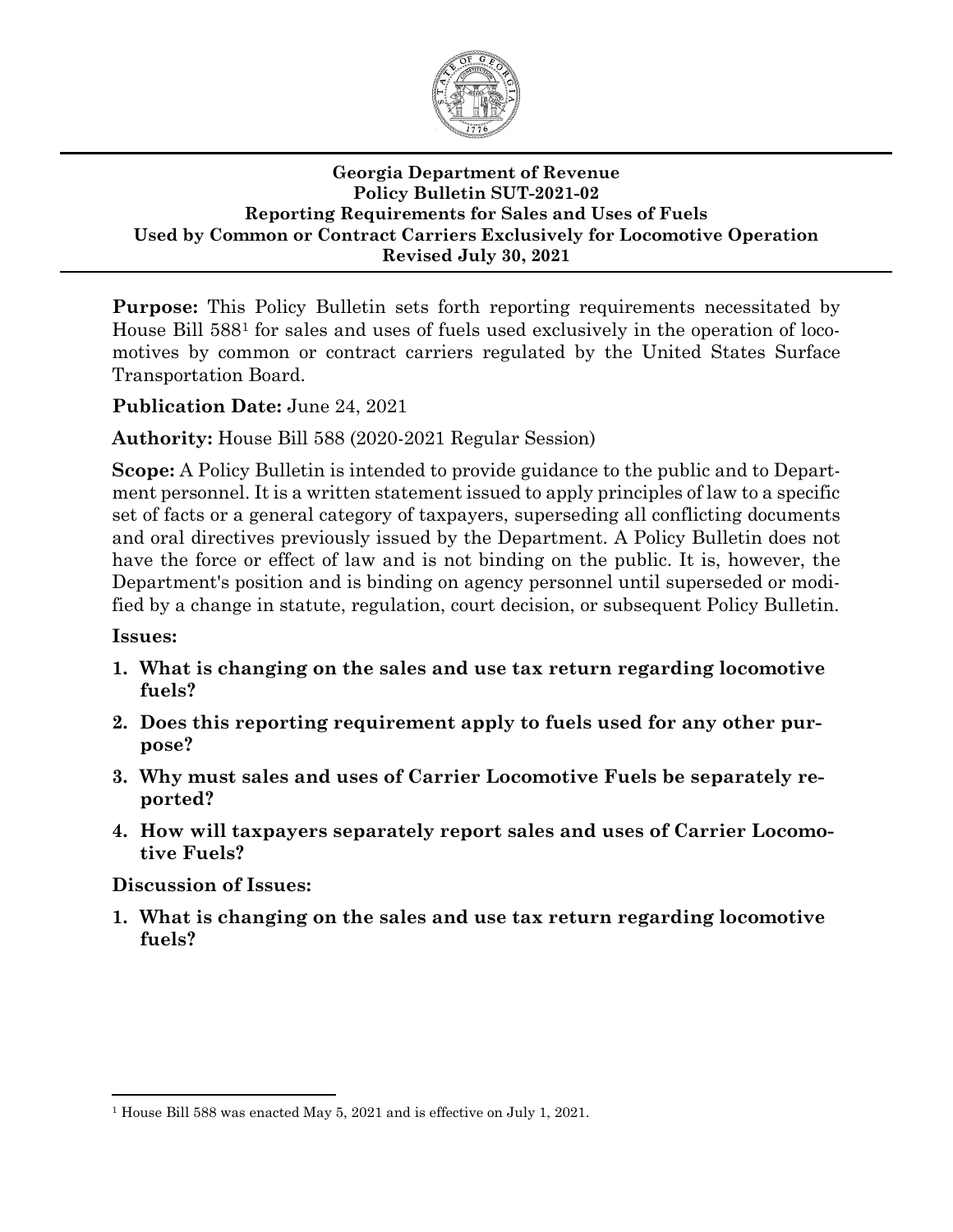

#### **Georgia Department of Revenue Policy Bulletin SUT-2021-02 Reporting Requirements for Sales and Uses of Fuels Used by Common or Contract Carriers Exclusively for Locomotive Operation Revised July 30, 2021**

**Purpose:** This Policy Bulletin sets forth reporting requirements necessitated by House Bill 588[1](#page-0-1) for sales and uses of fuels used exclusively in the operation of locomotives by common or contract carriers regulated by the United States Surface Transportation Board.

## **Publication Date:** June 24, 2021

**Authority:** House Bill 588 (2020-2021 Regular Session)

**Scope:** A Policy Bulletin is intended to provide guidance to the public and to Department personnel. It is a written statement issued to apply principles of law to a specific set of facts or a general category of taxpayers, superseding all conflicting documents and oral directives previously issued by the Department. A Policy Bulletin does not have the force or effect of law and is not binding on the public. It is, however, the Department's position and is binding on agency personnel until superseded or modified by a change in statute, regulation, court decision, or subsequent Policy Bulletin.

#### **Issues:**

- **1. What is changing [on the sales and use tax return regarding locomotive](#page-0-0)  [fuels?](#page-0-0)**
- **2. [Does this reporting requirement apply to fuels used for any other pur](#page-1-0)[pose?](#page-1-0)**
- **3. [Why must sales and uses of Carrier Locomotive Fuels be separately re](#page-1-1)[ported?](#page-1-1)**
- **4. [How will taxpayers separately report sales and uses of Carrier Locomo](#page-1-2)[tive Fuels?](#page-1-2)**

#### **Discussion of Issues:**

<span id="page-0-0"></span>**1. What is changing on the sales and use tax return regarding locomotive fuels?**

<span id="page-0-1"></span><sup>1</sup> House Bill 588 was enacted May 5, 2021 and is effective on July 1, 2021.